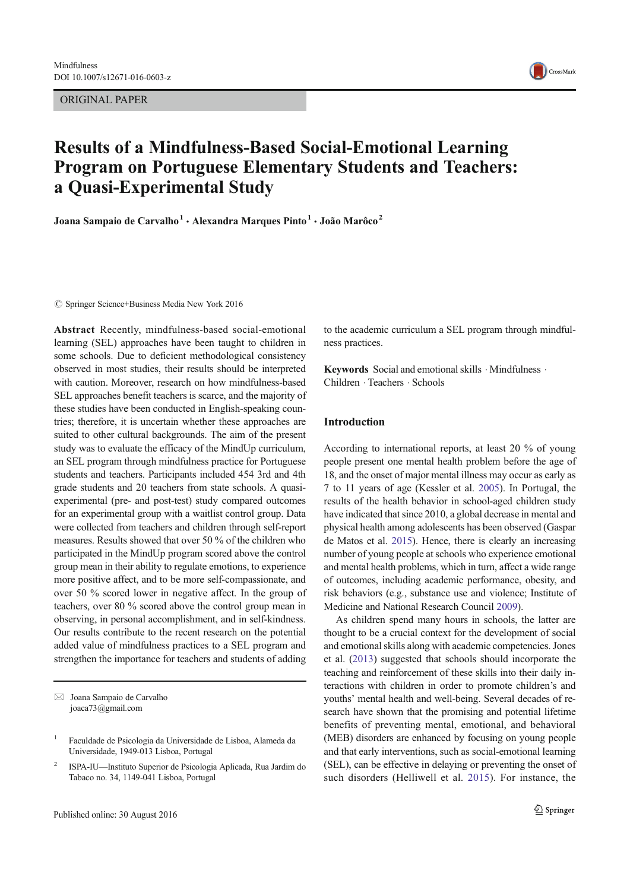ORIGINAL PAPER



# Results of a Mindfulness-Based Social-Emotional Learning Program on Portuguese Elementary Students and Teachers: a Quasi-Experimental Study

Joana Sampaio de Carvalho<sup>1</sup> · Alexandra Marques Pinto<sup>1</sup> · João Marôco<sup>2</sup>

 $\circled{c}$  Springer Science+Business Media New York 2016

Abstract Recently, mindfulness-based social-emotional learning (SEL) approaches have been taught to children in some schools. Due to deficient methodological consistency observed in most studies, their results should be interpreted with caution. Moreover, research on how mindfulness-based SEL approaches benefit teachers is scarce, and the majority of these studies have been conducted in English-speaking countries; therefore, it is uncertain whether these approaches are suited to other cultural backgrounds. The aim of the present study was to evaluate the efficacy of the MindUp curriculum, an SEL program through mindfulness practice for Portuguese students and teachers. Participants included 454 3rd and 4th grade students and 20 teachers from state schools. A quasiexperimental (pre- and post-test) study compared outcomes for an experimental group with a waitlist control group. Data were collected from teachers and children through self-report measures. Results showed that over 50 % of the children who participated in the MindUp program scored above the control group mean in their ability to regulate emotions, to experience more positive affect, and to be more self-compassionate, and over 50 % scored lower in negative affect. In the group of teachers, over 80 % scored above the control group mean in observing, in personal accomplishment, and in self-kindness. Our results contribute to the recent research on the potential added value of mindfulness practices to a SEL program and strengthen the importance for teachers and students of adding

 $\boxtimes$  Joana Sampaio de Carvalho joaca73@gmail.com

to the academic curriculum a SEL program through mindfulness practices.

Keywords Social and emotional skills  $\cdot$  Mindfulness  $\cdot$ Children . Teachers . Schools

# Introduction

According to international reports, at least 20 % of young people present one mental health problem before the age of 18, and the onset of major mental illness may occur as early as 7 to 11 years of age (Kessler et al. 2005). In Portugal, the results of the health behavior in school-aged children study have indicated that since 2010, a global decrease in mental and physical health among adolescents has been observed (Gaspar de Matos et al. 2015). Hence, there is clearly an increasing number of young people at schools who experience emotional and mental health problems, which in turn, affect a wide range of outcomes, including academic performance, obesity, and risk behaviors (e.g., substance use and violence; Institute of Medicine and National Research Council 2009).

As children spend many hours in schools, the latter are thought to be a crucial context for the development of social and emotional skills along with academic competencies. Jones et al. (2013) suggested that schools should incorporate the teaching and reinforcement of these skills into their daily interactions with children in order to promote children's and youths' mental health and well-being. Several decades of research have shown that the promising and potential lifetime benefits of preventing mental, emotional, and behavioral (MEB) disorders are enhanced by focusing on young people and that early interventions, such as social-emotional learning (SEL), can be effective in delaying or preventing the onset of such disorders (Helliwell et al. 2015). For instance, the

<sup>1</sup> Faculdade de Psicologia da Universidade de Lisboa, Alameda da Universidade, 1949-013 Lisboa, Portugal

<sup>2</sup> ISPA-IU—Instituto Superior de Psicologia Aplicada, Rua Jardim do Tabaco no. 34, 1149-041 Lisboa, Portugal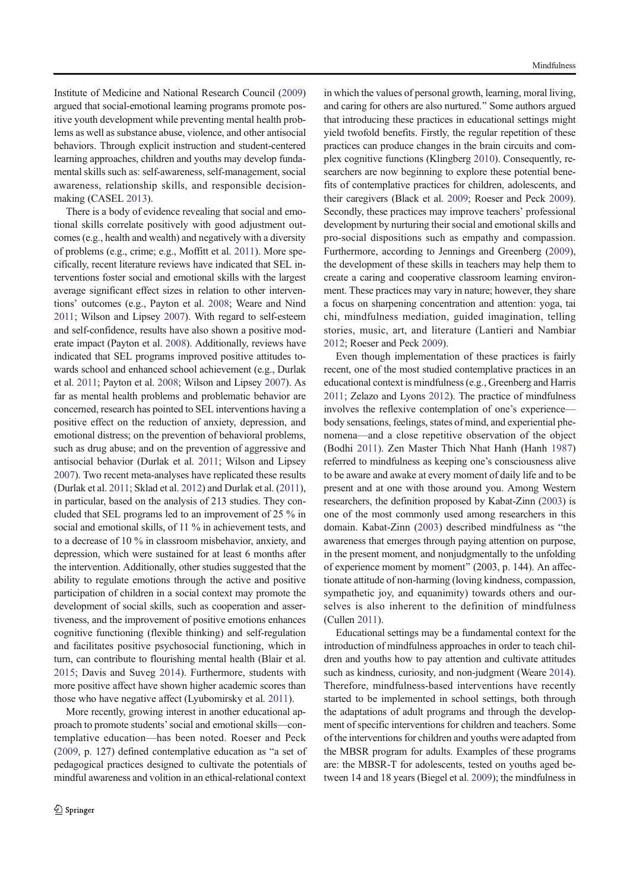Institute of Medicine and National Research Council (2009) argued that social-emotional learning programs promote positive youth development while preventing mental health problems as well as substance abuse, violence, and other antisocial behaviors. Through explicit instruction and student-centered learning approaches, children and youths may develop fundamental skills such as: self-awareness, self-management, social awareness, relationship skills, and responsible decisionmaking (CASEL 2013).

There is a body of evidence revealing that social and emotional skills correlate positively with good adjustment outcomes (e.g., health and wealth) and negatively with a diversity of problems (e.g., crime; e.g., Moffitt et al. 2011). More specifically, recent literature reviews have indicated that SEL interventions foster social and emotional skills with the largest average significant effect sizes in relation to other interventions' outcomes (e.g., Payton et al. 2008; Weare and Nind 2011; Wilson and Lipsey 2007). With regard to self-esteem and self-confidence, results have also shown a positive moderate impact (Payton et al. 2008). Additionally, reviews have indicated that SEL programs improved positive attitudes towards school and enhanced school achievement (e.g., Durlak et al. 2011; Payton et al. 2008; Wilson and Lipsey 2007). As far as mental health problems and problematic behavior are concerned, research has pointed to SEL interventions having a positive effect on the reduction of anxiety, depression, and emotional distress; on the prevention of behavioral problems, such as drug abuse; and on the prevention of aggressive and antisocial behavior (Durlak et al. 2011; Wilson and Lipsey 2007). Two recent meta-analyses have replicated these results (Durlak et al. 2011; Sklad et al. 2012) and Durlak et al. (2011), in particular, based on the analysis of 213 studies. They concluded that SEL programs led to an improvement of 25 % in social and emotional skills, of 11 % in achievement tests, and to a decrease of 10 % in classroom misbehavior, anxiety, and depression, which were sustained for at least 6 months after the intervention. Additionally, other studies suggested that the ability to regulate emotions through the active and positive participation of children in a social context may promote the development of social skills, such as cooperation and assertiveness, and the improvement of positive emotions enhances cognitive functioning (flexible thinking) and self-regulation and facilitates positive psychosocial functioning, which in turn, can contribute to flourishing mental health (Blair et al. 2015; Davis and Suveg 2014). Furthermore, students with more positive affect have shown higher academic scores than those who have negative affect (Lyubomirsky et al. 2011).

More recently, growing interest in another educational approach to promote students'social and emotional skills—contemplative education—has been noted. Roeser and Peck (2009, p. 127) defined contemplative education as "a set of pedagogical practices designed to cultivate the potentials of mindful awareness and volition in an ethical-relational context

in which the values of personal growth, learning, moral living, and caring for others are also nurtured." Some authors argued that introducing these practices in educational settings might yield twofold benefits. Firstly, the regular repetition of these practices can produce changes in the brain circuits and complex cognitive functions (Klingberg 2010). Consequently, researchers are now beginning to explore these potential benefits of contemplative practices for children, adolescents, and their caregivers (Black et al. 2009; Roeser and Peck 2009). Secondly, these practices may improve teachers' professional development by nurturing their social and emotional skills and pro-social dispositions such as empathy and compassion. Furthermore, according to Jennings and Greenberg (2009), the development of these skills in teachers may help them to create a caring and cooperative classroom learning environment. These practices may vary in nature; however, they share a focus on sharpening concentration and attention: yoga, tai chi, mindfulness mediation, guided imagination, telling stories, music, art, and literature (Lantieri and Nambiar 2012; Roeser and Peck 2009).

Even though implementation of these practices is fairly recent, one of the most studied contemplative practices in an educational context is mindfulness (e.g., Greenberg and Harris 2011; Zelazo and Lyons 2012). The practice of mindfulness involves the reflexive contemplation of one's experience body sensations, feelings, states of mind, and experiential phenomena—and a close repetitive observation of the object (Bodhi 2011). Zen Master Thich Nhat Hanh (Hanh 1987) referred to mindfulness as keeping one's consciousness alive to be aware and awake at every moment of daily life and to be present and at one with those around you. Among Western researchers, the definition proposed by Kabat-Zinn (2003) is one of the most commonly used among researchers in this domain. Kabat-Zinn  $(2003)$  described mindfulness as "the awareness that emerges through paying attention on purpose, in the present moment, and nonjudgmentally to the unfolding of experience moment by moment" (2003, p. 144). An affectionate attitude of non-harming (loving kindness, compassion, sympathetic joy, and equanimity) towards others and ourselves is also inherent to the definition of mindfulness (Cullen 2011).

Educational settings may be a fundamental context for the introduction of mindfulness approaches in order to teach children and youths how to pay attention and cultivate attitudes such as kindness, curiosity, and non-judgment (Weare 2014). Therefore, mindfulness-based interventions have recently started to be implemented in school settings, both through the adaptations of adult programs and through the development of specific interventions for children and teachers. Some of the interventions for children and youths were adapted from the MBSR program for adults. Examples of these programs are: the MBSR-T for adolescents, tested on youths aged between 14 and 18 years (Biegel et al. 2009); the mindfulness in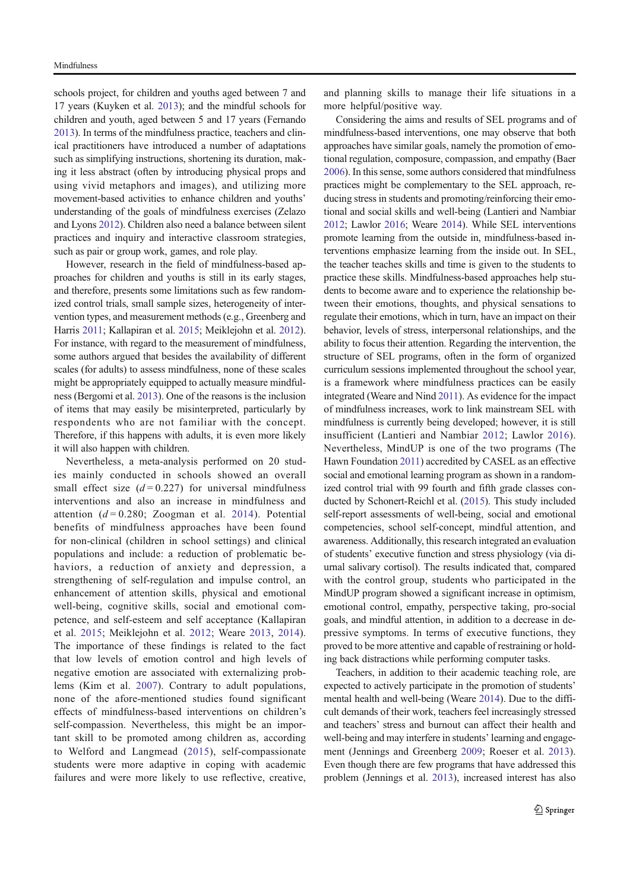schools project, for children and youths aged between 7 and 17 years (Kuyken et al. 2013); and the mindful schools for children and youth, aged between 5 and 17 years (Fernando 2013). In terms of the mindfulness practice, teachers and clinical practitioners have introduced a number of adaptations such as simplifying instructions, shortening its duration, making it less abstract (often by introducing physical props and using vivid metaphors and images), and utilizing more movement-based activities to enhance children and youths' understanding of the goals of mindfulness exercises (Zelazo and Lyons 2012). Children also need a balance between silent practices and inquiry and interactive classroom strategies, such as pair or group work, games, and role play.

However, research in the field of mindfulness-based approaches for children and youths is still in its early stages, and therefore, presents some limitations such as few randomized control trials, small sample sizes, heterogeneity of intervention types, and measurement methods (e.g., Greenberg and Harris 2011; Kallapiran et al. 2015; Meiklejohn et al. 2012). For instance, with regard to the measurement of mindfulness, some authors argued that besides the availability of different scales (for adults) to assess mindfulness, none of these scales might be appropriately equipped to actually measure mindfulness (Bergomi et al. 2013). One of the reasons is the inclusion of items that may easily be misinterpreted, particularly by respondents who are not familiar with the concept. Therefore, if this happens with adults, it is even more likely it will also happen with children.

Nevertheless, a meta-analysis performed on 20 studies mainly conducted in schools showed an overall small effect size  $(d=0.227)$  for universal mindfulness interventions and also an increase in mindfulness and attention  $(d=0.280; Zoogman et al. 2014)$ . Potential benefits of mindfulness approaches have been found for non-clinical (children in school settings) and clinical populations and include: a reduction of problematic behaviors, a reduction of anxiety and depression, a strengthening of self-regulation and impulse control, an enhancement of attention skills, physical and emotional well-being, cognitive skills, social and emotional competence, and self-esteem and self acceptance (Kallapiran et al. 2015; Meiklejohn et al. 2012; Weare 2013, 2014). The importance of these findings is related to the fact that low levels of emotion control and high levels of negative emotion are associated with externalizing problems (Kim et al. 2007). Contrary to adult populations, none of the afore-mentioned studies found significant effects of mindfulness-based interventions on children's self-compassion. Nevertheless, this might be an important skill to be promoted among children as, according to Welford and Langmead (2015), self-compassionate students were more adaptive in coping with academic failures and were more likely to use reflective, creative,

and planning skills to manage their life situations in a more helpful/positive way.

Considering the aims and results of SEL programs and of mindfulness-based interventions, one may observe that both approaches have similar goals, namely the promotion of emotional regulation, composure, compassion, and empathy (Baer 2006). In this sense, some authors considered that mindfulness practices might be complementary to the SEL approach, reducing stress in students and promoting/reinforcing their emotional and social skills and well-being (Lantieri and Nambiar 2012; Lawlor 2016; Weare 2014). While SEL interventions promote learning from the outside in, mindfulness-based interventions emphasize learning from the inside out. In SEL, the teacher teaches skills and time is given to the students to practice these skills. Mindfulness-based approaches help students to become aware and to experience the relationship between their emotions, thoughts, and physical sensations to regulate their emotions, which in turn, have an impact on their behavior, levels of stress, interpersonal relationships, and the ability to focus their attention. Regarding the intervention, the structure of SEL programs, often in the form of organized curriculum sessions implemented throughout the school year, is a framework where mindfulness practices can be easily integrated (Weare and Nind 2011). As evidence for the impact of mindfulness increases, work to link mainstream SEL with mindfulness is currently being developed; however, it is still insufficient (Lantieri and Nambiar 2012; Lawlor 2016). Nevertheless, MindUP is one of the two programs (The Hawn Foundation 2011) accredited by CASEL as an effective social and emotional learning program as shown in a randomized control trial with 99 fourth and fifth grade classes conducted by Schonert-Reichl et al. (2015). This study included self-report assessments of well-being, social and emotional competencies, school self-concept, mindful attention, and awareness. Additionally, this research integrated an evaluation of students' executive function and stress physiology (via diurnal salivary cortisol). The results indicated that, compared with the control group, students who participated in the MindUP program showed a significant increase in optimism, emotional control, empathy, perspective taking, pro-social goals, and mindful attention, in addition to a decrease in depressive symptoms. In terms of executive functions, they proved to be more attentive and capable of restraining or holding back distractions while performing computer tasks.

Teachers, in addition to their academic teaching role, are expected to actively participate in the promotion of students' mental health and well-being (Weare 2014). Due to the difficult demands of their work, teachers feel increasingly stressed and teachers' stress and burnout can affect their health and well-being and may interfere in students' learning and engagement (Jennings and Greenberg 2009; Roeser et al. 2013). Even though there are few programs that have addressed this problem (Jennings et al. 2013), increased interest has also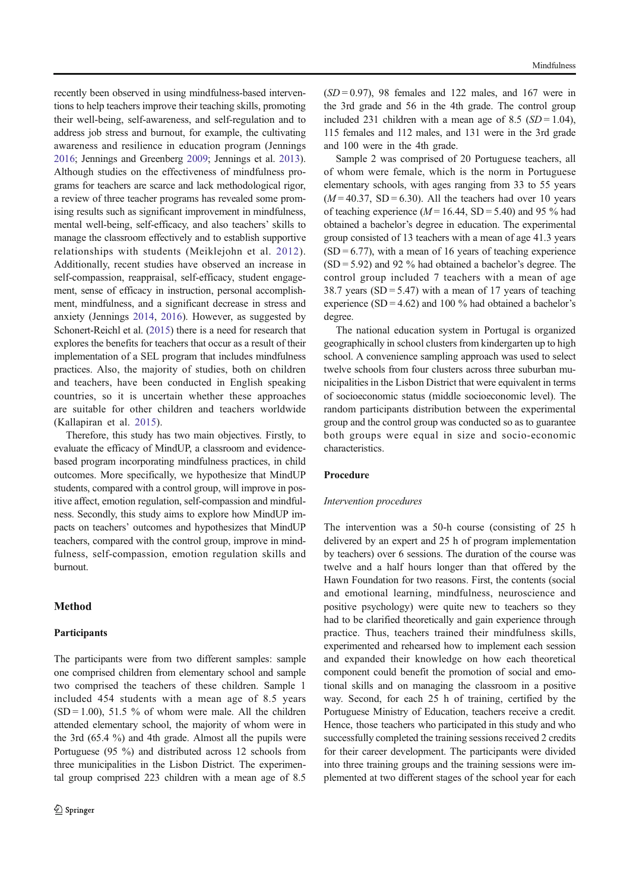recently been observed in using mindfulness-based interventions to help teachers improve their teaching skills, promoting their well-being, self-awareness, and self-regulation and to address job stress and burnout, for example, the cultivating awareness and resilience in education program (Jennings 2016; Jennings and Greenberg 2009; Jennings et al. 2013). Although studies on the effectiveness of mindfulness programs for teachers are scarce and lack methodological rigor, a review of three teacher programs has revealed some promising results such as significant improvement in mindfulness, mental well-being, self-efficacy, and also teachers' skills to manage the classroom effectively and to establish supportive relationships with students (Meiklejohn et al. 2012). Additionally, recent studies have observed an increase in self-compassion, reappraisal, self-efficacy, student engagement, sense of efficacy in instruction, personal accomplishment, mindfulness, and a significant decrease in stress and anxiety (Jennings 2014, 2016). However, as suggested by Schonert-Reichl et al. (2015) there is a need for research that explores the benefits for teachers that occur as a result of their implementation of a SEL program that includes mindfulness practices. Also, the majority of studies, both on children and teachers, have been conducted in English speaking countries, so it is uncertain whether these approaches are suitable for other children and teachers worldwide (Kallapiran et al. 2015).

Therefore, this study has two main objectives. Firstly, to evaluate the efficacy of MindUP, a classroom and evidencebased program incorporating mindfulness practices, in child outcomes. More specifically, we hypothesize that MindUP students, compared with a control group, will improve in positive affect, emotion regulation, self-compassion and mindfulness. Secondly, this study aims to explore how MindUP impacts on teachers' outcomes and hypothesizes that MindUP teachers, compared with the control group, improve in mindfulness, self-compassion, emotion regulation skills and burnout.

# Method

#### **Participants**

The participants were from two different samples: sample one comprised children from elementary school and sample two comprised the teachers of these children. Sample 1 included 454 students with a mean age of 8.5 years  $(SD = 1.00)$ , 51.5 % of whom were male. All the children attended elementary school, the majority of whom were in the 3rd (65.4 %) and 4th grade. Almost all the pupils were Portuguese (95 %) and distributed across 12 schools from three municipalities in the Lisbon District. The experimental group comprised 223 children with a mean age of 8.5  $(SD=0.97)$ , 98 females and 122 males, and 167 were in the 3rd grade and 56 in the 4th grade. The control group included 231 children with a mean age of 8.5 ( $SD = 1.04$ ), 115 females and 112 males, and 131 were in the 3rd grade and 100 were in the 4th grade.

Sample 2 was comprised of 20 Portuguese teachers, all of whom were female, which is the norm in Portuguese elementary schools, with ages ranging from 33 to 55 years  $(M = 40.37, SD = 6.30)$ . All the teachers had over 10 years of teaching experience  $(M = 16.44, SD = 5.40)$  and 95 % had obtained a bachelor's degree in education. The experimental group consisted of 13 teachers with a mean of age 41.3 years  $(SD = 6.77)$ , with a mean of 16 years of teaching experience  $(SD = 5.92)$  and 92 % had obtained a bachelor's degree. The control group included 7 teachers with a mean of age 38.7 years (SD = 5.47) with a mean of 17 years of teaching experience  $(SD = 4.62)$  and 100 % had obtained a bachelor's degree.

The national education system in Portugal is organized geographically in school clusters from kindergarten up to high school. A convenience sampling approach was used to select twelve schools from four clusters across three suburban municipalities in the Lisbon District that were equivalent in terms of socioeconomic status (middle socioeconomic level). The random participants distribution between the experimental group and the control group was conducted so as to guarantee both groups were equal in size and socio-economic characteristics.

### Procedure

#### Intervention procedures

The intervention was a 50-h course (consisting of 25 h delivered by an expert and 25 h of program implementation by teachers) over 6 sessions. The duration of the course was twelve and a half hours longer than that offered by the Hawn Foundation for two reasons. First, the contents (social and emotional learning, mindfulness, neuroscience and positive psychology) were quite new to teachers so they had to be clarified theoretically and gain experience through practice. Thus, teachers trained their mindfulness skills, experimented and rehearsed how to implement each session and expanded their knowledge on how each theoretical component could benefit the promotion of social and emotional skills and on managing the classroom in a positive way. Second, for each 25 h of training, certified by the Portuguese Ministry of Education, teachers receive a credit. Hence, those teachers who participated in this study and who successfully completed the training sessions received 2 credits for their career development. The participants were divided into three training groups and the training sessions were implemented at two different stages of the school year for each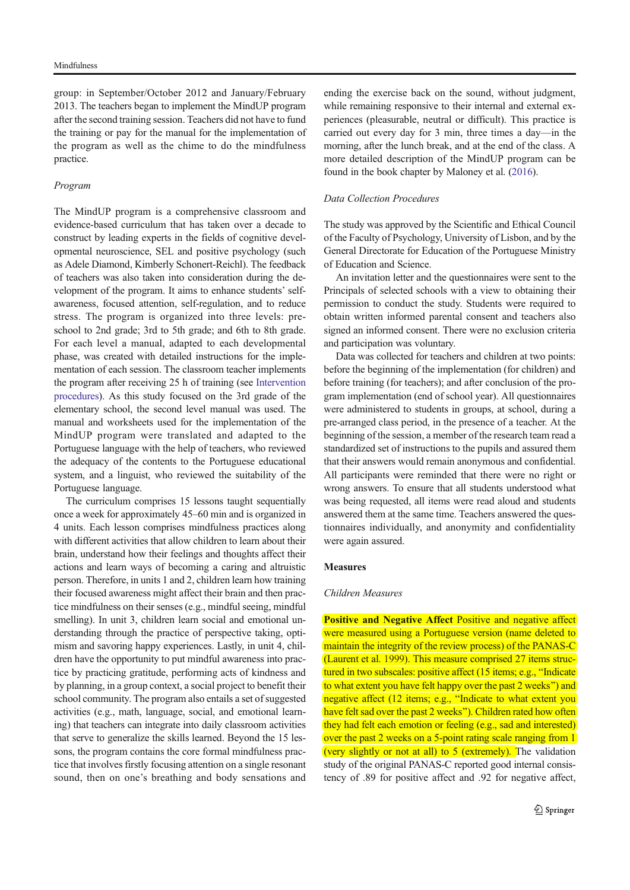group: in September/October 2012 and January/February 2013. The teachers began to implement the MindUP program after the second training session. Teachers did not have to fund the training or pay for the manual for the implementation of the program as well as the chime to do the mindfulness practice.

#### Program

The MindUP program is a comprehensive classroom and evidence-based curriculum that has taken over a decade to construct by leading experts in the fields of cognitive developmental neuroscience, SEL and positive psychology (such as Adele Diamond, Kimberly Schonert-Reichl). The feedback of teachers was also taken into consideration during the development of the program. It aims to enhance students' selfawareness, focused attention, self-regulation, and to reduce stress. The program is organized into three levels: preschool to 2nd grade; 3rd to 5th grade; and 6th to 8th grade. For each level a manual, adapted to each developmental phase, was created with detailed instructions for the implementation of each session. The classroom teacher implements the program after receiving 25 h of training (see Intervention procedures). As this study focused on the 3rd grade of the elementary school, the second level manual was used. The manual and worksheets used for the implementation of the MindUP program were translated and adapted to the Portuguese language with the help of teachers, who reviewed the adequacy of the contents to the Portuguese educational system, and a linguist, who reviewed the suitability of the Portuguese language.

The curriculum comprises 15 lessons taught sequentially once a week for approximately 45–60 min and is organized in 4 units. Each lesson comprises mindfulness practices along with different activities that allow children to learn about their brain, understand how their feelings and thoughts affect their actions and learn ways of becoming a caring and altruistic person. Therefore, in units 1 and 2, children learn how training their focused awareness might affect their brain and then practice mindfulness on their senses (e.g., mindful seeing, mindful smelling). In unit 3, children learn social and emotional understanding through the practice of perspective taking, optimism and savoring happy experiences. Lastly, in unit 4, children have the opportunity to put mindful awareness into practice by practicing gratitude, performing acts of kindness and by planning, in a group context, a social project to benefit their school community. The program also entails a set of suggested activities (e.g., math, language, social, and emotional learning) that teachers can integrate into daily classroom activities that serve to generalize the skills learned. Beyond the 15 lessons, the program contains the core formal mindfulness practice that involves firstly focusing attention on a single resonant sound, then on one's breathing and body sensations and ending the exercise back on the sound, without judgment, while remaining responsive to their internal and external experiences (pleasurable, neutral or difficult). This practice is carried out every day for 3 min, three times a day—in the morning, after the lunch break, and at the end of the class. A more detailed description of the MindUP program can be found in the book chapter by Maloney et al. (2016).

## Data Collection Procedures

The study was approved by the Scientific and Ethical Council of the Faculty of Psychology, University of Lisbon, and by the General Directorate for Education of the Portuguese Ministry of Education and Science.

An invitation letter and the questionnaires were sent to the Principals of selected schools with a view to obtaining their permission to conduct the study. Students were required to obtain written informed parental consent and teachers also signed an informed consent. There were no exclusion criteria and participation was voluntary.

Data was collected for teachers and children at two points: before the beginning of the implementation (for children) and before training (for teachers); and after conclusion of the program implementation (end of school year). All questionnaires were administered to students in groups, at school, during a pre-arranged class period, in the presence of a teacher. At the beginning of the session, a member of the research team read a standardized set of instructions to the pupils and assured them that their answers would remain anonymous and confidential. All participants were reminded that there were no right or wrong answers. To ensure that all students understood what was being requested, all items were read aloud and students answered them at the same time. Teachers answered the questionnaires individually, and anonymity and confidentiality were again assured.

#### **Measures**

#### Children Measures

Positive and Negative Affect Positive and negative affect were measured using a Portuguese version (name deleted to maintain the integrity of the review process) of the PANAS-C (Laurent et al. 1999). This measure comprised 27 items structured in two subscales: positive affect  $(15$  items; e.g., "Indicate to what extent you have felt happy over the past 2 weeks") and negative affect (12 items; e.g., "Indicate to what extent you have felt sad over the past 2 weeks"). Children rated how often they had felt each emotion or feeling (e.g., sad and interested) over the past 2 weeks on a 5-point rating scale ranging from 1 (very slightly or not at all) to  $5$  (extremely). The validation study of the original PANAS-C reported good internal consistency of .89 for positive affect and .92 for negative affect,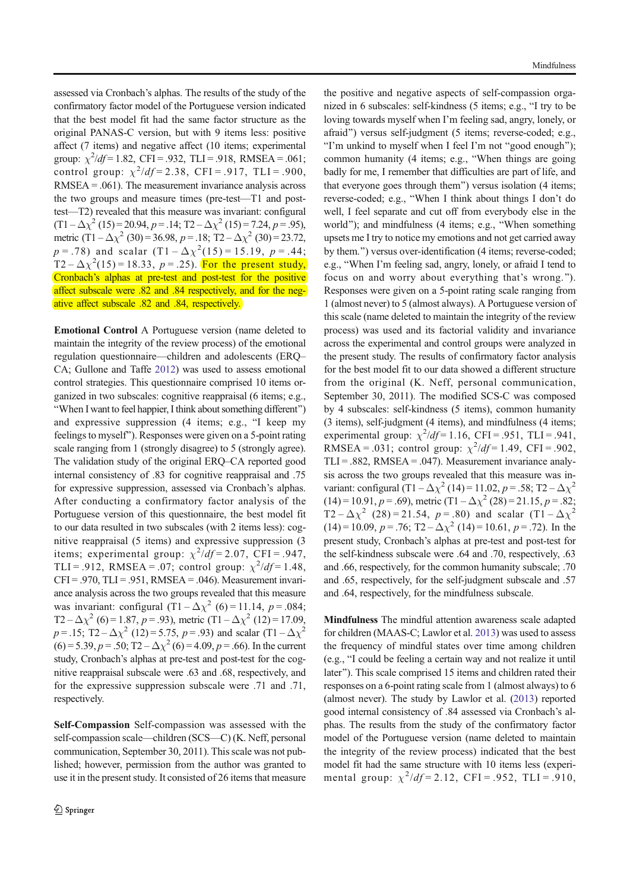assessed via Cronbach's alphas. The results of the study of the confirmatory factor model of the Portuguese version indicated that the best model fit had the same factor structure as the original PANAS-C version, but with 9 items less: positive affect (7 items) and negative affect (10 items; experimental group:  $\chi^2/df = 1.82$ , CFI = .932, TLI = .918, RMSEA = .061; control group:  $\chi^2/df = 2.38$ , CFI = .917, TLI = .900, RMSEA = .061). The measurement invariance analysis across the two groups and measure times (pre-test—T1 and posttest—T2) revealed that this measure was invariant: configural  $(T1 - \Delta \chi^2 (15) = 20.94, p = .14; T2 - \Delta \chi^2 (15) = 7.24, p = .95)$ metric  $(T1 - \Delta \chi^2 (30) = 36.98, p = .18; T2 - \Delta \chi^2 (30) = 23.72,$  $p = .78$ ) and scalar  $(T1 - \Delta \chi^2(15) = 15.19, p = .44;$  $T2 - \Delta \chi^2(15) = 18.33$ ,  $p = .25$ ). For the present study, Cronbach's alphas at pre-test and post-test for the positive affect subscale were .82 and .84 respectively, and for the negative affect subscale .82 and .84, respectively.

Emotional Control A Portuguese version (name deleted to maintain the integrity of the review process) of the emotional regulation questionnaire—children and adolescents (ERQ– CA; Gullone and Taffe 2012) was used to assess emotional control strategies. This questionnaire comprised 10 items organized in two subscales: cognitive reappraisal (6 items; e.g., "When I want to feel happier, I think about something different") and expressive suppression  $(4 \text{ items}; e.g., "I keep my")$ feelings to myself^). Responses were given on a 5-point rating scale ranging from 1 (strongly disagree) to 5 (strongly agree). The validation study of the original ERQ–CA reported good internal consistency of .83 for cognitive reappraisal and .75 for expressive suppression, assessed via Cronbach's alphas. After conducting a confirmatory factor analysis of the Portuguese version of this questionnaire, the best model fit to our data resulted in two subscales (with 2 items less): cognitive reappraisal (5 items) and expressive suppression (3 items; experimental group:  $\chi^2/df = 2.07$ , CFI = .947, TLI = .912, RMSEA = .07; control group:  $\chi^2/df = 1.48$ ,  $CFI = .970$ ,  $TLI = .951$ ,  $RMSEA = .046$ ). Measurement invariance analysis across the two groups revealed that this measure was invariant: configural  $(T1 - \Delta \chi^2)$  (6) = 11.14, p = .084; T2 –  $\Delta \chi^2$  (6) = 1.87, p = .93), metric (T1 –  $\Delta \chi^2$  (12) = 17.09,  $p = .15$ ; T2 –  $\Delta \chi^2$  (12) = 5.75,  $p = .93$ ) and scalar (T1 –  $\Delta \chi^2$  $(6) = 5.39, p = .50; T2 - \Delta \chi^2 (6) = 4.09, p = .66$ ). In the current study, Cronbach's alphas at pre-test and post-test for the cognitive reappraisal subscale were .63 and .68, respectively, and for the expressive suppression subscale were .71 and .71, respectively.

Self-Compassion Self-compassion was assessed with the self-compassion scale—children (SCS—C) (K. Neff, personal communication, September 30, 2011). This scale was not published; however, permission from the author was granted to use it in the present study. It consisted of 26 items that measure

the positive and negative aspects of self-compassion organized in 6 subscales: self-kindness (5 items; e.g., "I try to be loving towards myself when I'm feeling sad, angry, lonely, or afraid") versus self-judgment (5 items; reverse-coded; e.g., "I'm unkind to myself when I feel I'm not "good enough"); common humanity  $(4$  items; e.g., "When things are going badly for me, I remember that difficulties are part of life, and that everyone goes through them") versus isolation (4 items; reverse-coded; e.g., "When I think about things I don't do well, I feel separate and cut off from everybody else in the world"); and mindfulness (4 items; e.g., "When something upsets me I try to notice my emotions and not get carried away by them.") versus over-identification (4 items; reverse-coded; e.g., "When I'm feeling sad, angry, lonely, or afraid I tend to focus on and worry about everything that's wrong.^). Responses were given on a 5-point rating scale ranging from 1 (almost never) to 5 (almost always). A Portuguese version of this scale (name deleted to maintain the integrity of the review process) was used and its factorial validity and invariance across the experimental and control groups were analyzed in the present study. The results of confirmatory factor analysis for the best model fit to our data showed a different structure from the original (K. Neff, personal communication, September 30, 2011). The modified SCS-C was composed by 4 subscales: self-kindness (5 items), common humanity (3 items), self-judgment (4 items), and mindfulness (4 items; experimental group:  $\chi^2/df = 1.16$ , CFI = .951, TLI = .941, RMSEA = .031; control group:  $\chi^2/df = 1.49$ , CFI = .902,  $TLI = .882$ , RMSEA = .047). Measurement invariance analysis across the two groups revealed that this measure was invariant: configural (T1 –  $\Delta \chi^2$  (14) = 11.02, p = .58; T2 –  $\Delta \chi^2$  $(14) = 10.91, p = .69$ , metric  $(T1 - \Delta \chi^2 (28) = 21.15, p = .82;$ T2 –  $\Delta \chi^2$  (28) = 21.54, p = .80) and scalar (T1 –  $\Delta \chi^2$  $(14) = 10.09, p = .76; T2 - \Delta \chi^2 (14) = 10.61, p = .72$ ). In the present study, Cronbach's alphas at pre-test and post-test for the self-kindness subscale were .64 and .70, respectively, .63 and .66, respectively, for the common humanity subscale; .70 and .65, respectively, for the self-judgment subscale and .57 and .64, respectively, for the mindfulness subscale.

Mindfulness The mindful attention awareness scale adapted for children (MAAS-C; Lawlor et al. 2013) was used to assess the frequency of mindful states over time among children (e.g., BI could be feeling a certain way and not realize it until later"). This scale comprised 15 items and children rated their responses on a 6-point rating scale from 1 (almost always) to 6 (almost never). The study by Lawlor et al. (2013) reported good internal consistency of .84 assessed via Cronbach's alphas. The results from the study of the confirmatory factor model of the Portuguese version (name deleted to maintain the integrity of the review process) indicated that the best model fit had the same structure with 10 items less (experimental group:  $\chi^2/df = 2.12$ , CFI = .952, TLI = .910,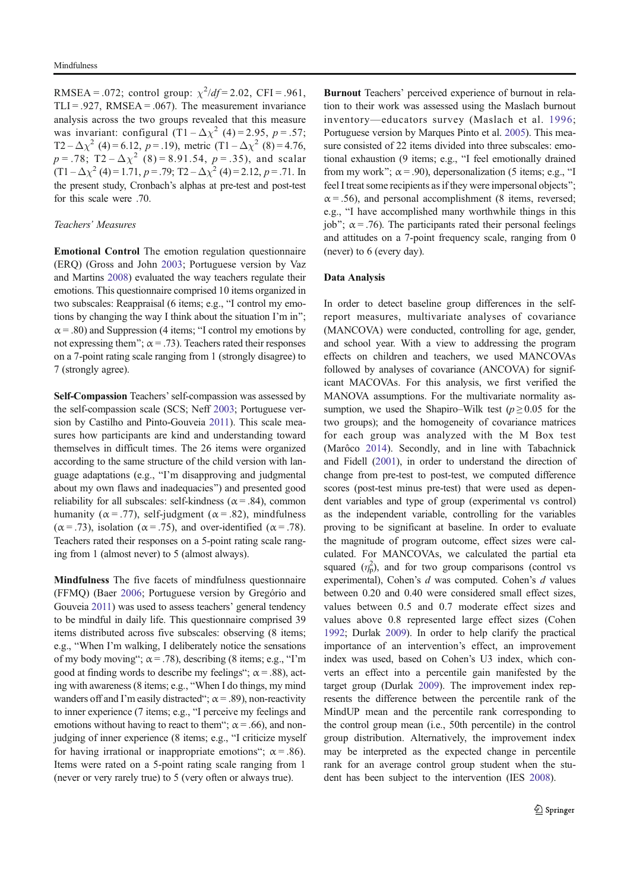RMSEA = .072; control group:  $\chi^2/df = 2.02$ , CFI = .961, TLI = .927, RMSEA = .067). The measurement invariance analysis across the two groups revealed that this measure was invariant: configural  $(T1 - \Delta \chi^2)$  (4) = 2.95, p = .57; T2 –  $\Delta \chi^2$  (4) = 6.12, p = .19), metric (T1 –  $\Delta \chi^2$  (8) = 4.76,  $p = .78$ ; T2 –  $\Delta \chi^2$  (8) = 8.91.54,  $p = .35$ ), and scalar  $(1 - \Delta \chi^2)(4) = 1.71, p = .79;$  T2 –  $\Delta \chi^2(4) = 2.12, p = .71$ . In the present study, Cronbach's alphas at pre-test and post-test for this scale were .70.

#### Teachers' Measures

Emotional Control The emotion regulation questionnaire (ERQ) (Gross and John 2003; Portuguese version by Vaz and Martins 2008) evaluated the way teachers regulate their emotions. This questionnaire comprised 10 items organized in two subscales: Reappraisal (6 items; e.g., "I control my emotions by changing the way I think about the situation I'm in";  $\alpha$  = .80) and Suppression (4 items; "I control my emotions by not expressing them";  $\alpha = .73$ ). Teachers rated their responses on a 7-point rating scale ranging from 1 (strongly disagree) to 7 (strongly agree).

Self-Compassion Teachers'self-compassion was assessed by the self-compassion scale (SCS; Neff 2003; Portuguese version by Castilho and Pinto-Gouveia 2011). This scale measures how participants are kind and understanding toward themselves in difficult times. The 26 items were organized according to the same structure of the child version with language adaptations (e.g., "I'm disapproving and judgmental about my own flaws and inadequacies^) and presented good reliability for all subscales: self-kindness ( $\alpha$  = .84), common humanity ( $\alpha$  = .77), self-judgment ( $\alpha$  = .82), mindfulness ( $\alpha$  = .73), isolation ( $\alpha$  = .75), and over-identified ( $\alpha$  = .78). Teachers rated their responses on a 5-point rating scale ranging from 1 (almost never) to 5 (almost always).

Mindfulness The five facets of mindfulness questionnaire (FFMQ) (Baer 2006; Portuguese version by Gregório and Gouveia 2011) was used to assess teachers' general tendency to be mindful in daily life. This questionnaire comprised 39 items distributed across five subscales: observing (8 items; e.g., "When I'm walking, I deliberately notice the sensations of my body moving";  $\alpha$  = .78), describing (8 items; e.g., "I'm good at finding words to describe my feelings";  $\alpha$  = .88), acting with awareness (8 items; e.g., "When I do things, my mind wanders off and I'm easily distracted";  $\alpha$  = .89), non-reactivity to inner experience (7 items; e.g., "I perceive my feelings and emotions without having to react to them";  $\alpha$  = .66), and nonjudging of inner experience (8 items; e.g., "I criticize myself for having irrational or inappropriate emotions";  $\alpha = .86$ ). Items were rated on a 5-point rating scale ranging from 1 (never or very rarely true) to 5 (very often or always true).

Burnout Teachers' perceived experience of burnout in relation to their work was assessed using the Maslach burnout inventory—educators survey (Maslach et al. 1996; Portuguese version by Marques Pinto et al. 2005). This measure consisted of 22 items divided into three subscales: emotional exhaustion (9 items; e.g., "I feel emotionally drained from my work";  $\alpha$  = .90), depersonalization (5 items; e.g., "I feel I treat some recipients as if they were impersonal objects";  $\alpha$  = .56), and personal accomplishment (8 items, reversed; e.g., "I have accomplished many worthwhile things in this job";  $\alpha$  = .76). The participants rated their personal feelings and attitudes on a 7-point frequency scale, ranging from 0 (never) to 6 (every day).

## Data Analysis

In order to detect baseline group differences in the selfreport measures, multivariate analyses of covariance (MANCOVA) were conducted, controlling for age, gender, and school year. With a view to addressing the program effects on children and teachers, we used MANCOVAs followed by analyses of covariance (ANCOVA) for significant MACOVAs. For this analysis, we first verified the MANOVA assumptions. For the multivariate normality assumption, we used the Shapiro–Wilk test ( $p \ge 0.05$  for the two groups); and the homogeneity of covariance matrices for each group was analyzed with the M Box test (Marôco 2014). Secondly, and in line with Tabachnick and Fidell (2001), in order to understand the direction of change from pre-test to post-test, we computed difference scores (post-test minus pre-test) that were used as dependent variables and type of group (experimental vs control) as the independent variable, controlling for the variables proving to be significant at baseline. In order to evaluate the magnitude of program outcome, effect sizes were calculated. For MANCOVAs, we calculated the partial eta squared  $(\eta_p^2)$ , and for two group comparisons (control vs experimental), Cohen's d was computed. Cohen's d values between 0.20 and 0.40 were considered small effect sizes, values between 0.5 and 0.7 moderate effect sizes and values above 0.8 represented large effect sizes (Cohen 1992; Durlak 2009). In order to help clarify the practical importance of an intervention's effect, an improvement index was used, based on Cohen's U3 index, which converts an effect into a percentile gain manifested by the target group (Durlak 2009). The improvement index represents the difference between the percentile rank of the MindUP mean and the percentile rank corresponding to the control group mean (i.e., 50th percentile) in the control group distribution. Alternatively, the improvement index may be interpreted as the expected change in percentile rank for an average control group student when the student has been subject to the intervention (IES 2008).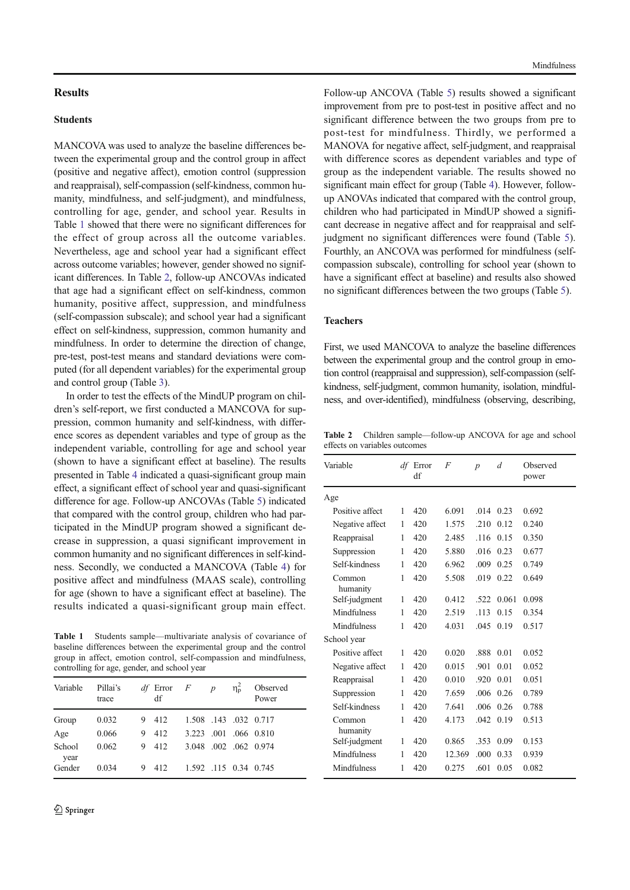# **Results**

### Students

MANCOVA was used to analyze the baseline differences between the experimental group and the control group in affect (positive and negative affect), emotion control (suppression and reappraisal), self-compassion (self-kindness, common humanity, mindfulness, and self-judgment), and mindfulness, controlling for age, gender, and school year. Results in Table 1 showed that there were no significant differences for the effect of group across all the outcome variables. Nevertheless, age and school year had a significant effect across outcome variables; however, gender showed no significant differences. In Table 2, follow-up ANCOVAs indicated that age had a significant effect on self-kindness, common humanity, positive affect, suppression, and mindfulness (self-compassion subscale); and school year had a significant effect on self-kindness, suppression, common humanity and mindfulness. In order to determine the direction of change, pre-test, post-test means and standard deviations were computed (for all dependent variables) for the experimental group and control group (Table 3).

In order to test the effects of the MindUP program on children's self-report, we first conducted a MANCOVA for suppression, common humanity and self-kindness, with difference scores as dependent variables and type of group as the independent variable, controlling for age and school year (shown to have a significant effect at baseline). The results presented in Table 4 indicated a quasi-significant group main effect, a significant effect of school year and quasi-significant difference for age. Follow-up ANCOVAs (Table 5) indicated that compared with the control group, children who had participated in the MindUP program showed a significant decrease in suppression, a quasi significant improvement in common humanity and no significant differences in self-kindness. Secondly, we conducted a MANCOVA (Table 4) for positive affect and mindfulness (MAAS scale), controlling for age (shown to have a significant effect at baseline). The results indicated a quasi-significant group main effect.

Table 1 Students sample—multivariate analysis of covariance of baseline differences between the experimental group and the control group in affect, emotion control, self-compassion and mindfulness, controlling for age, gender, and school year

| Variable       | Pillai's<br>trace |   | <i>df</i> Error $F$ <i>p</i><br>df |                       | $\eta_{\rm p}^2$ | Observed<br>Power |
|----------------|-------------------|---|------------------------------------|-----------------------|------------------|-------------------|
| Group          | 0.032             |   | 9 412                              | 1.508 .143 .032 0.717 |                  |                   |
| Age            | 0.066             | 9 | 412                                | 3.223 001 066 0.810   |                  |                   |
| School<br>year | 0.062             |   | 9 412                              | 3.048 .002 .062 0.974 |                  |                   |
| Gender         | 0.034             | 9 | 412                                | 1.592 .115 0.34 0.745 |                  |                   |

Follow-up ANCOVA (Table 5) results showed a significant improvement from pre to post-test in positive affect and no significant difference between the two groups from pre to post-test for mindfulness. Thirdly, we performed a MANOVA for negative affect, self-judgment, and reappraisal with difference scores as dependent variables and type of group as the independent variable. The results showed no significant main effect for group (Table 4). However, followup ANOVAs indicated that compared with the control group, children who had participated in MindUP showed a significant decrease in negative affect and for reappraisal and selfjudgment no significant differences were found (Table 5). Fourthly, an ANCOVA was performed for mindfulness (selfcompassion subscale), controlling for school year (shown to have a significant effect at baseline) and results also showed no significant differences between the two groups (Table 5).

# Teachers

First, we used MANCOVA to analyze the baseline differences between the experimental group and the control group in emotion control (reappraisal and suppression), self-compassion (selfkindness, self-judgment, common humanity, isolation, mindfulness, and over-identified), mindfulness (observing, describing,

Table 2 Children sample—follow-up ANCOVA for age and school effects on variables outcomes

| Variable           |   | $df$ Error<br>df | F      | $\boldsymbol{p}$ | $\overline{d}$ | Observed<br>power |
|--------------------|---|------------------|--------|------------------|----------------|-------------------|
| Age                |   |                  |        |                  |                |                   |
| Positive affect    | 1 | 420              | 6.091  | .014             | 0.23           | 0.692             |
| Negative affect    | 1 | 420              | 1.575  | .210             | 0.12           | 0.240             |
| Reappraisal        | 1 | 420              | 2.485  | .116             | 0.15           | 0.350             |
| Suppression        | 1 | 420              | 5.880  | .016             | 0.23           | 0.677             |
| Self-kindness      | 1 | 420              | 6.962  | .009             | 0.25           | 0.749             |
| Common<br>humanity | 1 | 420              | 5.508  | .019             | 0.22           | 0.649             |
| Self-judgment      | 1 | 420              | 0.412  | .522             | 0.061          | 0.098             |
| Mindfulness        | 1 | 420              | 2.519  | .113             | 0.15           | 0.354             |
| Mindfulness        | 1 | 420              | 4.031  | .045             | 0.19           | 0.517             |
| School year        |   |                  |        |                  |                |                   |
| Positive affect    | 1 | 420              | 0.020  | .888             | 0.01           | 0.052             |
| Negative affect    | 1 | 420              | 0.015  | .901             | 0.01           | 0.052             |
| Reappraisal        | 1 | 420              | 0.010  | .920             | 0.01           | 0.051             |
| Suppression        | 1 | 420              | 7.659  | .006             | 0.26           | 0.789             |
| Self-kindness      | 1 | 420              | 7.641  | .006             | 0.26           | 0.788             |
| Common<br>humanity | 1 | 420              | 4.173  | .042             | 0.19           | 0.513             |
| Self-judgment      | 1 | 420              | 0.865  | .353             | 0.09           | 0.153             |
| Mindfulness        | 1 | 420              | 12.369 | .000             | 0.33           | 0.939             |
| Mindfulness        | 1 | 420              | 0.275  | .601             | 0.05           | 0.082             |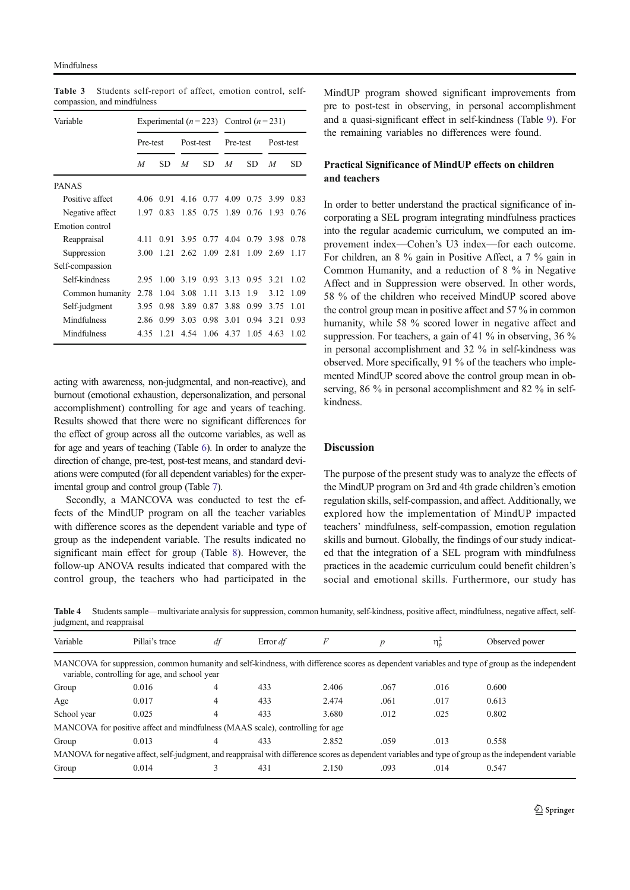| Variable        |          |      |           |      | Experimental $(n=223)$ Control $(n=231)$ |      |           |      |  |
|-----------------|----------|------|-----------|------|------------------------------------------|------|-----------|------|--|
|                 | Pre-test |      | Post-test |      | Pre-test                                 |      | Post-test |      |  |
|                 | M        | SD   | M         | SD   | M                                        | SD   | M         | SD   |  |
| <b>PANAS</b>    |          |      |           |      |                                          |      |           |      |  |
| Positive affect | 4.06     | 0.91 | 4.16      | 0.77 | 4.09                                     | 0.75 | 3.99      | 0.83 |  |
| Negative affect | 1.97     | 0.83 | 1.85      | 0.75 | 1.89                                     | 0.76 | 1.93      | 0.76 |  |
| Emotion control |          |      |           |      |                                          |      |           |      |  |
| Reappraisal     | 4.11     | 0.91 | 3.95      | 0.77 | 4.04                                     | 0.79 | 3.98      | 0.78 |  |
| Suppression     | 3.00     | 1.21 | 2.62      | 1.09 | 2.81                                     | 1.09 | 2.69      | 1.17 |  |
| Self-compassion |          |      |           |      |                                          |      |           |      |  |
| Self-kindness   | 2.95     | 1.00 | 3.19      | 0.93 | 3.13                                     | 0.95 | 3.21      | 1.02 |  |
| Common humanity | 2.78     | 1.04 | 3.08      | 1.11 | 3.13                                     | 1.9  | 3.12      | 1.09 |  |
| Self-judgment   | 3.95     | 0.98 | 3.89      | 0.87 | 3.88                                     | 0.99 | 3.75      | 1.01 |  |
| Mindfulness     | 2.86     | 0.99 | 3.03      | 0.98 | 3.01                                     | 0.94 | 3.21      | 0.93 |  |
| Mindfulness     | 4.35     | 1.21 | 4.54      | 1.06 | 4.37                                     | 1.05 | 4.63      | 1.02 |  |

Table 3 Students self-report of affect, emotion control, selfcompassion, and mindfulness

acting with awareness, non-judgmental, and non-reactive), and burnout (emotional exhaustion, depersonalization, and personal accomplishment) controlling for age and years of teaching. Results showed that there were no significant differences for the effect of group across all the outcome variables, as well as for age and years of teaching (Table 6). In order to analyze the direction of change, pre-test, post-test means, and standard deviations were computed (for all dependent variables) for the experimental group and control group (Table 7).

Secondly, a MANCOVA was conducted to test the effects of the MindUP program on all the teacher variables with difference scores as the dependent variable and type of group as the independent variable. The results indicated no significant main effect for group (Table 8). However, the follow-up ANOVA results indicated that compared with the control group, the teachers who had participated in the

MindUP program showed significant improvements from pre to post-test in observing, in personal accomplishment and a quasi-significant effect in self-kindness (Table 9). For the remaining variables no differences were found.

# Practical Significance of MindUP effects on children and teachers

In order to better understand the practical significance of incorporating a SEL program integrating mindfulness practices into the regular academic curriculum, we computed an improvement index—Cohen's U3 index—for each outcome. For children, an 8 % gain in Positive Affect, a 7 % gain in Common Humanity, and a reduction of 8 % in Negative Affect and in Suppression were observed. In other words, 58 % of the children who received MindUP scored above the control group mean in positive affect and 57 % in common humanity, while 58 % scored lower in negative affect and suppression. For teachers, a gain of 41 % in observing, 36 % in personal accomplishment and 32 % in self-kindness was observed. More specifically, 91 % of the teachers who implemented MindUP scored above the control group mean in observing, 86 % in personal accomplishment and 82 % in selfkindness.

## **Discussion**

The purpose of the present study was to analyze the effects of the MindUP program on 3rd and 4th grade children's emotion regulation skills, self-compassion, and affect. Additionally, we explored how the implementation of MindUP impacted teachers' mindfulness, self-compassion, emotion regulation skills and burnout. Globally, the findings of our study indicated that the integration of a SEL program with mindfulness practices in the academic curriculum could benefit children's social and emotional skills. Furthermore, our study has

Table 4 Students sample—multivariate analysis for suppression, common humanity, self-kindness, positive affect, mindfulness, negative affect, selfjudgment, and reappraisal

| Variable                                                                      | Pillai's trace                                 | df | Error df | F     | р    | $\eta_{\rm p}$ | Observed power                                                                                                                                         |
|-------------------------------------------------------------------------------|------------------------------------------------|----|----------|-------|------|----------------|--------------------------------------------------------------------------------------------------------------------------------------------------------|
|                                                                               | variable, controlling for age, and school year |    |          |       |      |                | MANCOVA for suppression, common humanity and self-kindness, with difference scores as dependent variables and type of group as the independent         |
| Group                                                                         | 0.016                                          | 4  | 433      | 2.406 | .067 | .016           | 0.600                                                                                                                                                  |
| Age                                                                           | 0.017                                          | 4  | 433      | 2.474 | .061 | .017           | 0.613                                                                                                                                                  |
| School year                                                                   | 0.025                                          | 4  | 433      | 3.680 | .012 | .025           | 0.802                                                                                                                                                  |
| MANCOVA for positive affect and mindfulness (MAAS scale), controlling for age |                                                |    |          |       |      |                |                                                                                                                                                        |
| Group                                                                         | 0.013                                          | 4  | 433      | 2.852 | .059 | .013           | 0.558                                                                                                                                                  |
|                                                                               |                                                |    |          |       |      |                | MANOVA for negative affect, self-judgment, and reappraisal with difference scores as dependent variables and type of group as the independent variable |
| Group                                                                         | 0.014                                          |    | 431      | 2.150 | .093 | .014           | 0.547                                                                                                                                                  |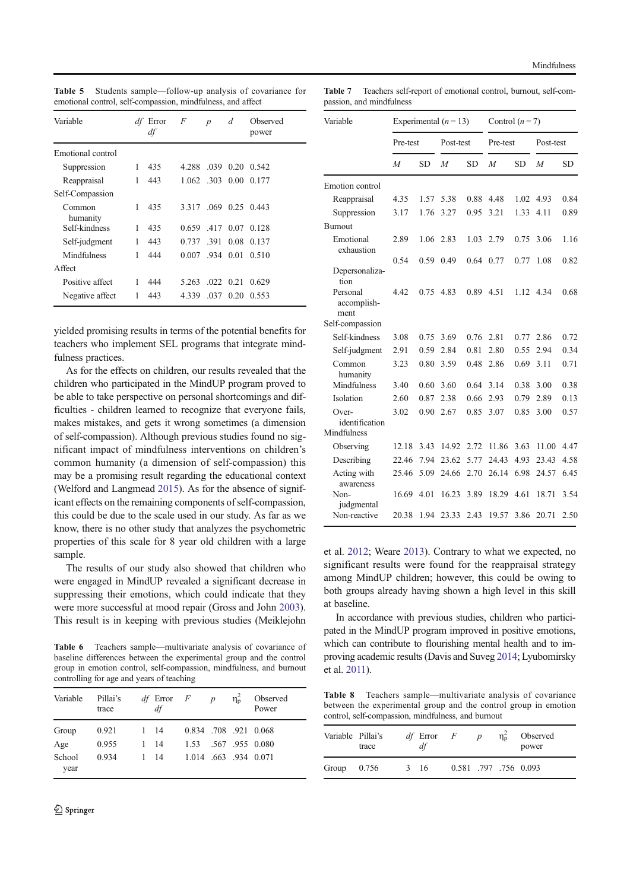| Variable           |   | <i>df</i> Error<br>df | $\overline{F}$  | $\boldsymbol{p}$ | d           | Observed<br>power |
|--------------------|---|-----------------------|-----------------|------------------|-------------|-------------------|
| Emotional control  |   |                       |                 |                  |             |                   |
| Suppression        | 1 | 435                   | 4.288           | .039             | 0.20        | 0.542             |
| Reappraisal        | 1 | 443                   | 1.062 .303 0.00 |                  |             | 0.177             |
| Self-Compassion    |   |                       |                 |                  |             |                   |
| Common<br>humanity | 1 | 435                   | 3.317           |                  | $.069$ 0.25 | 0.443             |
| Self-kindness      | 1 | 435                   | 0.659           | .417 0.07        |             | 0.128             |
| Self-judgment      | 1 | 443                   | 0.737           | .391             | 0.08        | 0.137             |
| Mindfulness        | 1 | 444                   | 0.007           | .934 0.01        |             | 0.510             |
| Affect             |   |                       |                 |                  |             |                   |
| Positive affect    | 1 | 444                   | 5.263           | $.022 \pm 0.21$  |             | 0.629             |
| Negative affect    | 1 | 443                   | 4.339           | .037             | 0.20        | 0.553             |
|                    |   |                       |                 |                  |             |                   |

Table 5 Students sample—follow-up analysis of covariance for emotional control, self-compassion, mindfulness, and affect

yielded promising results in terms of the potential benefits for teachers who implement SEL programs that integrate mindfulness practices.

As for the effects on children, our results revealed that the children who participated in the MindUP program proved to be able to take perspective on personal shortcomings and difficulties - children learned to recognize that everyone fails, makes mistakes, and gets it wrong sometimes (a dimension of self-compassion). Although previous studies found no significant impact of mindfulness interventions on children's common humanity (a dimension of self-compassion) this may be a promising result regarding the educational context (Welford and Langmead 2015). As for the absence of significant effects on the remaining components of self-compassion, this could be due to the scale used in our study. As far as we know, there is no other study that analyzes the psychometric properties of this scale for 8 year old children with a large sample.

The results of our study also showed that children who were engaged in MindUP revealed a significant decrease in suppressing their emotions, which could indicate that they were more successful at mood repair (Gross and John 2003). This result is in keeping with previous studies (Meiklejohn

Table 6 Teachers sample—multivariate analysis of covariance of baseline differences between the experimental group and the control group in emotion control, self-compassion, mindfulness, and burnout controlling for age and years of teaching

| Variable       | Pillai's<br>trace |   | $df$ Error $F$<br>df |                     | $\boldsymbol{p}$ | $\eta_{\rm p}^2$ | Observed<br>Power |
|----------------|-------------------|---|----------------------|---------------------|------------------|------------------|-------------------|
| Group          | 0.921             | 1 | - 14                 | 0.834 708 921 0.068 |                  |                  |                   |
| Age            | 0.955             |   | 1 14                 | 1.53                |                  |                  | .567.955.0.080    |
| School<br>year | 0.934             | 1 | - 14                 | 1.014 663 934 0.071 |                  |                  |                   |

Table 7 Teachers self-report of emotional control, burnout, self-compassion, and mindfulness

| Variable                        |          |           | Experimental $(n=13)$ |           | Control $(n=7)$ |           |           |           |
|---------------------------------|----------|-----------|-----------------------|-----------|-----------------|-----------|-----------|-----------|
|                                 | Pre-test |           | Post-test             |           | Pre-test        |           | Post-test |           |
|                                 | M        | <b>SD</b> | M                     | <b>SD</b> | M               | <b>SD</b> | M         | <b>SD</b> |
| Emotion control                 |          |           |                       |           |                 |           |           |           |
| Reappraisal                     | 4.35     | 1.57      | 5.38                  | 0.88      | 4.48            | 1.02      | 4.93      | 0.84      |
| Suppression                     | 3.17     | 1.76      | 3.27                  | 0.95      | 3.21            | 1.33      | 4.11      | 0.89      |
| <b>Burnout</b>                  |          |           |                       |           |                 |           |           |           |
| Emotional<br>exhaustion         | 2.89     | 1.06      | 2.83                  | 1.03      | 2.79            | 0.75      | 3.06      | 1.16      |
|                                 | 0.54     | 0.59      | 0.49                  | 0.64      | 0.77            | 0.77      | 1.08      | 0.82      |
| Depersonaliza-<br>tion          |          |           |                       |           |                 |           |           |           |
| Personal<br>accomplish-<br>ment | 4.42     | 0.75      | 4.83                  | 0.89      | 4.51            | 1.12      | 4.34      | 0.68      |
| Self-compassion                 |          |           |                       |           |                 |           |           |           |
| Self-kindness                   | 3.08     | 0.75      | 3.69                  | 0.76      | 2.81            | 0.77      | 2.86      | 0.72      |
| Self-judgment                   | 2.91     | 0.59      | 2.84                  | 0.81      | 2.80            | 0.55      | 2.94      | 0.34      |
| Common<br>humanity              | 3.23     | 0.80      | 3.59                  | 0.48      | 2.86            | 0.69      | 3.11      | 0.71      |
| Mindfulness                     | 3.40     | 0.60      | 3.60                  | 0.64      | 3.14            | 0.38      | 3.00      | 0.38      |
| Isolation                       | 2.60     | 0.87      | 2.38                  | 0.66      | 2.93            | 0.79      | 2.89      | 0.13      |
| $Over-$<br>identification       | 3.02     | 0.90      | 2.67                  | 0.85      | 3.07            | 0.85      | 3.00      | 0.57      |
| Mindfulness                     |          |           |                       |           |                 |           |           |           |
| Observing                       | 12.18    | 3.43      | 14.92                 | 2.72      | 11.86           | 3.63      | 11.00     | 4.47      |
| Describing                      | 22.46    | 7.94      | 23.62                 | 5.77      | 24.43           | 4.93      | 23.43     | 4.58      |
| Acting with<br>awareness        | 25.46    | 5.09      | 24.66                 | 2.70      | 26.14           | 6.98      | 24.57     | 6.45      |
| Non-<br>judgmental              | 16.69    | 4.01      | 16.23                 | 3.89      | 18.29           | 4.61      | 18.71     | 3.54      |
| Non-reactive                    | 20.38    | 1.94      | 23.33                 | 2.43      | 19.57           | 3.86      | 20.71     | 2.50      |

et al. 2012; Weare 2013). Contrary to what we expected, no significant results were found for the reappraisal strategy among MindUP children; however, this could be owing to both groups already having shown a high level in this skill at baseline.

In accordance with previous studies, children who participated in the MindUP program improved in positive emotions, which can contribute to flourishing mental health and to improving academic results (Davis and Suveg 2014; Lyubomirsky et al. 2011).

Table 8 Teachers sample—multivariate analysis of covariance between the experimental group and the control group in emotion control, self-compassion, mindfulness, and burnout

| Variable Pillai's | trace | $df$ Error<br>df | F                     | $\boldsymbol{p}$ | $\eta_{\rm n}^2$ | Observed<br>power |
|-------------------|-------|------------------|-----------------------|------------------|------------------|-------------------|
| Group             | 0.756 | 3 16             | 0.581 .797 .756 0.093 |                  |                  |                   |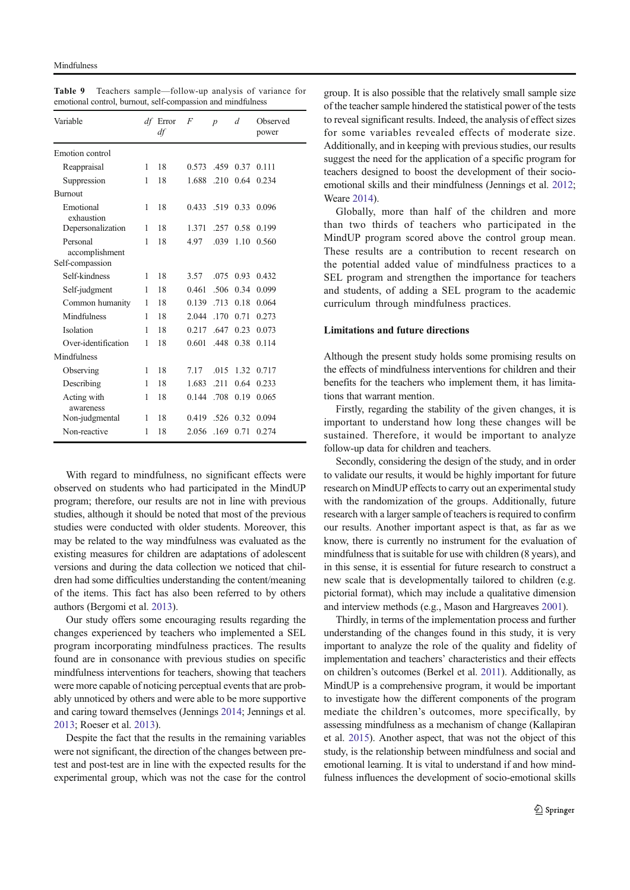Table 9 Teachers sample—follow-up analysis of variance for emotional control, burnout, self-compassion and mindfulness

| Variable                   |              | df Error<br>df | F     | $\boldsymbol{p}$ | d    | Observed<br>power |
|----------------------------|--------------|----------------|-------|------------------|------|-------------------|
| Emotion control            |              |                |       |                  |      |                   |
| Reappraisal                | 1            | 18             | 0.573 | .459             | 0.37 | 0.111             |
| Suppression                | 1            | 18             | 1.688 | .210             | 0.64 | 0.234             |
| <b>Burnout</b>             |              |                |       |                  |      |                   |
| Emotional<br>exhaustion    | 1            | 18             | 0.433 | .519             | 0.33 | 0.096             |
| Depersonalization          | 1            | 18             | 1.371 | 257              | 0.58 | 0.199             |
| Personal<br>accomplishment | 1            | 18             | 4.97  | .039             | 1.10 | 0.560             |
| Self-compassion            |              |                |       |                  |      |                   |
| Self-kindness              | 1            | 18             | 3.57  | .075             | 0.93 | 0.432             |
| Self-judgment              | 1            | 18             | 0.461 | .506             | 0.34 | 0.099             |
| Common humanity            | 1            | 18             | 0.139 | .713             | 0.18 | 0.064             |
| Mindfulness                | 1            | 18             | 2.044 | .170             | 0.71 | 0.273             |
| Isolation                  | 1            | 18             | 0.217 | .647             | 0.23 | 0.073             |
| Over-identification        | 1            | 18             | 0.601 | .448             | 0.38 | 0.114             |
| Mindfulness                |              |                |       |                  |      |                   |
| Observing                  | $\mathbf{1}$ | 18             | 7.17  | .015             | 1.32 | 0.717             |
| Describing                 | $\mathbf{1}$ | 18             | 1.683 | .211             | 0.64 | 0.233             |
| Acting with<br>awareness   | $\mathbf{1}$ | 18             | 0.144 | .708             | 0.19 | 0.065             |
| Non-judgmental             | 1            | 18             | 0.419 | .526             | 0.32 | 0.094             |
| Non-reactive               | 1            | 18             | 2.056 | .169             | 0.71 | 0.274             |

With regard to mindfulness, no significant effects were observed on students who had participated in the MindUP program; therefore, our results are not in line with previous studies, although it should be noted that most of the previous studies were conducted with older students. Moreover, this may be related to the way mindfulness was evaluated as the existing measures for children are adaptations of adolescent versions and during the data collection we noticed that children had some difficulties understanding the content/meaning of the items. This fact has also been referred to by others authors (Bergomi et al. 2013).

Our study offers some encouraging results regarding the changes experienced by teachers who implemented a SEL program incorporating mindfulness practices. The results found are in consonance with previous studies on specific mindfulness interventions for teachers, showing that teachers were more capable of noticing perceptual events that are probably unnoticed by others and were able to be more supportive and caring toward themselves (Jennings 2014; Jennings et al. 2013; Roeser et al. 2013).

Despite the fact that the results in the remaining variables were not significant, the direction of the changes between pretest and post-test are in line with the expected results for the experimental group, which was not the case for the control

group. It is also possible that the relatively small sample size of the teacher sample hindered the statistical power of the tests to reveal significant results. Indeed, the analysis of effect sizes for some variables revealed effects of moderate size. Additionally, and in keeping with previous studies, our results suggest the need for the application of a specific program for teachers designed to boost the development of their socioemotional skills and their mindfulness (Jennings et al. 2012; Weare 2014).

Globally, more than half of the children and more than two thirds of teachers who participated in the MindUP program scored above the control group mean. These results are a contribution to recent research on the potential added value of mindfulness practices to a SEL program and strengthen the importance for teachers and students, of adding a SEL program to the academic curriculum through mindfulness practices.

# Limitations and future directions

Although the present study holds some promising results on the effects of mindfulness interventions for children and their benefits for the teachers who implement them, it has limitations that warrant mention.

Firstly, regarding the stability of the given changes, it is important to understand how long these changes will be sustained. Therefore, it would be important to analyze follow-up data for children and teachers.

Secondly, considering the design of the study, and in order to validate our results, it would be highly important for future research on MindUP effects to carry out an experimental study with the randomization of the groups. Additionally, future research with a larger sample of teachers is required to confirm our results. Another important aspect is that, as far as we know, there is currently no instrument for the evaluation of mindfulness that is suitable for use with children (8 years), and in this sense, it is essential for future research to construct a new scale that is developmentally tailored to children (e.g. pictorial format), which may include a qualitative dimension and interview methods (e.g., Mason and Hargreaves 2001).

Thirdly, in terms of the implementation process and further understanding of the changes found in this study, it is very important to analyze the role of the quality and fidelity of implementation and teachers' characteristics and their effects on children's outcomes (Berkel et al. 2011). Additionally, as MindUP is a comprehensive program, it would be important to investigate how the different components of the program mediate the children's outcomes, more specifically, by assessing mindfulness as a mechanism of change (Kallapiran et al. 2015). Another aspect, that was not the object of this study, is the relationship between mindfulness and social and emotional learning. It is vital to understand if and how mindfulness influences the development of socio-emotional skills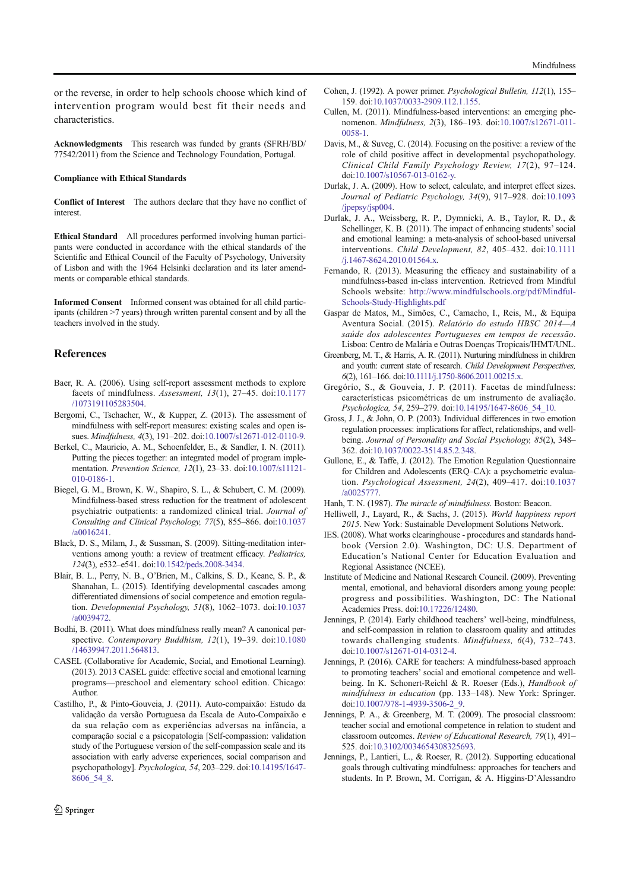Acknowledgments This research was funded by grants (SFRH/BD/ 77542/2011) from the Science and Technology Foundation, Portugal.

#### Compliance with Ethical Standards

characteristics.

Conflict of Interest The authors declare that they have no conflict of interest.

Ethical Standard All procedures performed involving human participants were conducted in accordance with the ethical standards of the Scientific and Ethical Council of the Faculty of Psychology, University of Lisbon and with the 1964 Helsinki declaration and its later amendments or comparable ethical standards.

Informed Consent Informed consent was obtained for all child participants (children >7 years) through written parental consent and by all the teachers involved in the study.

## References

- Baer, R. A. (2006). Using self-report assessment methods to explore facets of mindfulness. Assessment, 13(1), 27–45. doi:10.1177 /1073191105283504.
- Bergomi, C., Tschacher, W., & Kupper, Z. (2013). The assessment of mindfulness with self-report measures: existing scales and open issues. Mindfulness, 4(3), 191–202. doi:10.1007/s12671-012-0110-9.
- Berkel, C., Mauricio, A. M., Schoenfelder, E., & Sandler, I. N. (2011). Putting the pieces together: an integrated model of program implementation. Prevention Science, 12(1), 23–33. doi:10.1007/s11121- 010-0186-1.
- Biegel, G. M., Brown, K. W., Shapiro, S. L., & Schubert, C. M. (2009). Mindfulness-based stress reduction for the treatment of adolescent psychiatric outpatients: a randomized clinical trial. Journal of Consulting and Clinical Psychology, 77(5), 855–866. doi:10.1037 /a0016241.
- Black, D. S., Milam, J., & Sussman, S. (2009). Sitting-meditation interventions among youth: a review of treatment efficacy. Pediatrics, 124(3), e532–e541. doi:10.1542/peds.2008-3434.
- Blair, B. L., Perry, N. B., O'Brien, M., Calkins, S. D., Keane, S. P., & Shanahan, L. (2015). Identifying developmental cascades among differentiated dimensions of social competence and emotion regulation. Developmental Psychology, 51(8), 1062–1073. doi:10.1037 /a0039472.
- Bodhi, B. (2011). What does mindfulness really mean? A canonical perspective. Contemporary Buddhism, 12(1), 19-39. doi:10.1080 /14639947.2011.564813.
- CASEL (Collaborative for Academic, Social, and Emotional Learning). (2013). 2013 CASEL guide: effective social and emotional learning programs—preschool and elementary school edition. Chicago: Author.
- Castilho, P., & Pinto-Gouveia, J. (2011). Auto-compaixão: Estudo da validação da versão Portuguesa da Escala de Auto-Compaixão e da sua relação com as experiências adversas na infância, a comparação social e a psicopatologia [Self-compassion: validation study of the Portuguese version of the self-compassion scale and its association with early adverse experiences, social comparison and psychopathology]. Psychologica, 54, 203–229. doi:10.14195/1647- 8606\_54\_8.
- Cohen, J. (1992). A power primer. Psychological Bulletin, 112(1), 155– 159. doi:10.1037/0033-2909.112.1.155.
- Cullen, M. (2011). Mindfulness-based interventions: an emerging phenomenon. Mindfulness, 2(3), 186–193. doi:10.1007/s12671-011- 0058-1.
- Davis, M., & Suveg, C. (2014). Focusing on the positive: a review of the role of child positive affect in developmental psychopathology. Clinical Child Family Psychology Review, 17(2), 97–124. doi:10.1007/s10567-013-0162-y.
- Durlak, J. A. (2009). How to select, calculate, and interpret effect sizes. Journal of Pediatric Psychology, 34(9), 917–928. doi:10.1093 /jpepsy/jsp004.
- Durlak, J. A., Weissberg, R. P., Dymnicki, A. B., Taylor, R. D., & Schellinger, K. B. (2011). The impact of enhancing students' social and emotional learning: a meta-analysis of school-based universal interventions. Child Development, 82, 405–432. doi:10.1111 /j.1467-8624.2010.01564.x.
- Fernando, R. (2013). Measuring the efficacy and sustainability of a mindfulness-based in-class intervention. Retrieved from Mindful Schools website: http://www.mindfulschools.org/pdf/Mindful-Schools-Study-Highlights.pdf
- Gaspar de Matos, M., Simões, C., Camacho, I., Reis, M., & Equipa Aventura Social. (2015). Relatório do estudo HBSC 2014—A saúde dos adolescentes Portugueses em tempos de recessão. Lisboa: Centro de Malária e Outras Doenças Tropicais/IHMT/UNL.
- Greenberg, M. T., & Harris, A. R. (2011). Nurturing mindfulness in children and youth: current state of research. Child Development Perspectives, 6(2), 161–166. doi:10.1111/j.1750-8606.2011.00215.x.
- Gregório, S., & Gouveia, J. P. (2011). Facetas de mindfulness: características psicométricas de um instrumento de avaliação. Psychologica, 54, 259–279. doi:10.14195/1647-8606\_54\_10.
- Gross, J. J., & John, O. P. (2003). Individual differences in two emotion regulation processes: implications for affect, relationships, and wellbeing. Journal of Personality and Social Psychology, 85(2), 348-362. doi:10.1037/0022-3514.85.2.348.
- Gullone, E., & Taffe, J. (2012). The Emotion Regulation Questionnaire for Children and Adolescents (ERQ–CA): a psychometric evaluation. Psychological Assessment, 24(2), 409–417. doi:10.1037 /a0025777.
- Hanh, T. N. (1987). The miracle of mindfulness. Boston: Beacon.
- Helliwell, J., Layard, R., & Sachs, J. (2015). World happiness report 2015. New York: Sustainable Development Solutions Network.
- IES. (2008). What works clearinghouse procedures and standards handbook (Version 2.0). Washington, DC: U.S. Department of Education's National Center for Education Evaluation and Regional Assistance (NCEE).
- Institute of Medicine and National Research Council. (2009). Preventing mental, emotional, and behavioral disorders among young people: progress and possibilities. Washington, DC: The National Academies Press. doi:10.17226/12480.
- Jennings, P. (2014). Early childhood teachers' well-being, mindfulness, and self-compassion in relation to classroom quality and attitudes towards challenging students. Mindfulness, 6(4), 732–743. doi:10.1007/s12671-014-0312-4.
- Jennings, P. (2016). CARE for teachers: A mindfulness-based approach to promoting teachers' social and emotional competence and wellbeing. In K. Schonert-Reichl & R. Roeser (Eds.), Handbook of mindfulness in education (pp. 133–148). New York: Springer. doi:10.1007/978-1-4939-3506-2\_9.
- Jennings, P. A., & Greenberg, M. T. (2009). The prosocial classroom: teacher social and emotional competence in relation to student and classroom outcomes. Review of Educational Research, 79(1), 491– 525. doi:10.3102/0034654308325693.
- Jennings, P., Lantieri, L., & Roeser, R. (2012). Supporting educational goals through cultivating mindfulness: approaches for teachers and students. In P. Brown, M. Corrigan, & A. Higgins-D'Alessandro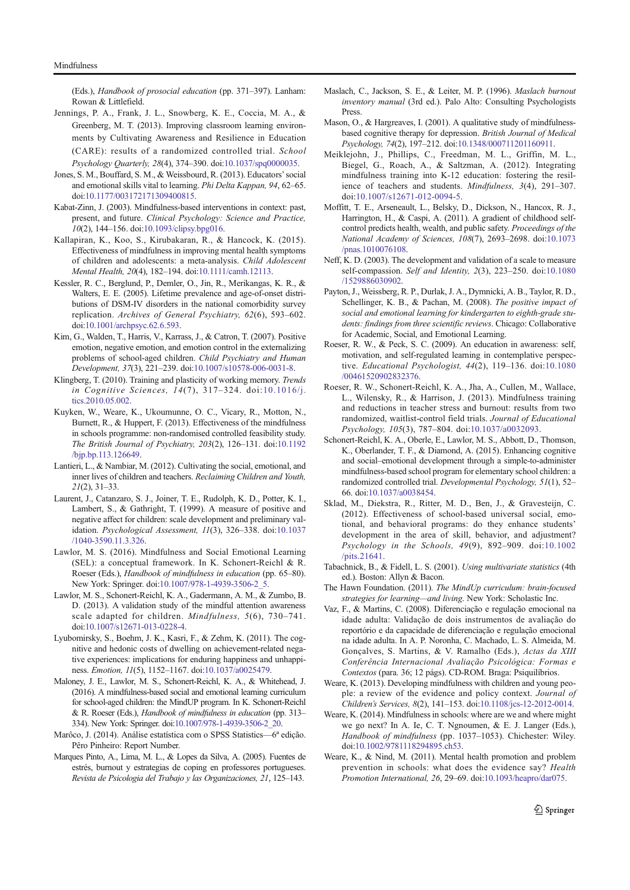(Eds.), Handbook of prosocial education (pp. 371–397). Lanham: Rowan & Littlefield.

- Jennings, P. A., Frank, J. L., Snowberg, K. E., Coccia, M. A., & Greenberg, M. T. (2013). Improving classroom learning environments by Cultivating Awareness and Resilience in Education (CARE): results of a randomized controlled trial. School Psychology Quarterly, 28(4), 374–390. doi:10.1037/spq0000035.
- Jones, S. M., Bouffard, S. M., & Weissbourd, R. (2013). Educators'social and emotional skills vital to learning. Phi Delta Kappan, 94, 62–65. doi:10.1177/003172171309400815.
- Kabat-Zinn, J. (2003). Mindfulness-based interventions in context: past, present, and future. Clinical Psychology: Science and Practice, 10(2), 144–156. doi:10.1093/clipsy.bpg016.
- Kallapiran, K., Koo, S., Kirubakaran, R., & Hancock, K. (2015). Effectiveness of mindfulness in improving mental health symptoms of children and adolescents: a meta-analysis. Child Adolescent Mental Health, 20(4), 182–194. doi:10.1111/camh.12113.
- Kessler, R. C., Berglund, P., Demler, O., Jin, R., Merikangas, K. R., & Walters, E. E. (2005). Lifetime prevalence and age-of-onset distributions of DSM-IV disorders in the national comorbidity survey replication. Archives of General Psychiatry, 62(6), 593–602. doi:10.1001/archpsyc.62.6.593.
- Kim, G., Walden, T., Harris, V., Karrass, J., & Catron, T. (2007). Positive emotion, negative emotion, and emotion control in the externalizing problems of school-aged children. Child Psychiatry and Human Development, 37(3), 221–239. doi:10.1007/s10578-006-0031-8.
- Klingberg, T. (2010). Training and plasticity of working memory. Trends in Cognitive Sciences, 14(7), 317–324. doi:10.1016/j. tics.2010.05.002.
- Kuyken, W., Weare, K., Ukoumunne, O. C., Vicary, R., Motton, N., Burnett, R., & Huppert, F. (2013). Effectiveness of the mindfulness in schools programme: non-randomised controlled feasibility study. The British Journal of Psychiatry, 203(2), 126–131. doi:10.1192 /bjp.bp.113.126649.
- Lantieri, L., & Nambiar, M. (2012). Cultivating the social, emotional, and inner lives of children and teachers. Reclaiming Children and Youth, 21(2), 31–33.
- Laurent, J., Catanzaro, S. J., Joiner, T. E., Rudolph, K. D., Potter, K. I., Lambert, S., & Gathright, T. (1999). A measure of positive and negative affect for children: scale development and preliminary validation. Psychological Assessment, 11(3), 326–338. doi:10.1037 /1040-3590.11.3.326.
- Lawlor, M. S. (2016). Mindfulness and Social Emotional Learning (SEL): a conceptual framework. In K. Schonert-Reichl & R. Roeser (Eds.), Handbook of mindfulness in education (pp. 65–80). New York: Springer. doi:10.1007/978-1-4939-3506-2\_5.
- Lawlor, M. S., Schonert-Reichl, K. A., Gadermann, A. M., & Zumbo, B. D. (2013). A validation study of the mindful attention awareness scale adapted for children. Mindfulness, 5(6), 730–741. doi:10.1007/s12671-013-0228-4.
- Lyubomirsky, S., Boehm, J. K., Kasri, F., & Zehm, K. (2011). The cognitive and hedonic costs of dwelling on achievement-related negative experiences: implications for enduring happiness and unhappiness. Emotion, 11(5), 1152–1167. doi:10.1037/a0025479.
- Maloney, J. E., Lawlor, M. S., Schonert-Reichl, K. A., & Whitehead, J. (2016). A mindfulness-based social and emotional learning curriculum for school-aged children: the MindUP program. In K. Schonert-Reichl & R. Roeser (Eds.), Handbook of mindfulness in education (pp. 313– 334). New York: Springer. doi:10.1007/978-1-4939-3506-2\_20.
- Marôco, J. (2014). Análise estatística com o SPSS Statistics—6<sup>ª</sup> edição. Pêro Pinheiro: Report Number.
- Marques Pinto, A., Lima, M. L., & Lopes da Silva, A. (2005). Fuentes de estrés, burnout y estrategias de coping en professores portugueses. Revista de Psicologia del Trabajo y las Organizaciones, 21, 125–143.
- Maslach, C., Jackson, S. E., & Leiter, M. P. (1996). Maslach burnout inventory manual (3rd ed.). Palo Alto: Consulting Psychologists Press.
- Mason, O., & Hargreaves, I. (2001). A qualitative study of mindfulnessbased cognitive therapy for depression. British Journal of Medical Psychology, 74(2), 197–212. doi:10.1348/000711201160911.
- Meiklejohn, J., Phillips, C., Freedman, M. L., Griffin, M. L., Biegel, G., Roach, A., & Saltzman, A. (2012). Integrating mindfulness training into K-12 education: fostering the resilience of teachers and students. Mindfulness, 3(4), 291–307. doi:10.1007/s12671-012-0094-5.
- Moffitt, T. E., Arseneault, L., Belsky, D., Dickson, N., Hancox, R. J., Harrington, H., & Caspi, A. (2011). A gradient of childhood selfcontrol predicts health, wealth, and public safety. Proceedings of the National Academy of Sciences, 108(7), 2693–2698. doi:10.1073 /pnas.1010076108.
- Neff, K. D. (2003). The development and validation of a scale to measure self-compassion. Self and Identity, 2(3), 223–250. doi:10.1080 /1529886030902.
- Payton, J., Weissberg, R. P., Durlak, J. A., Dymnicki, A. B., Taylor, R. D., Schellinger, K. B., & Pachan, M. (2008). The positive impact of social and emotional learning for kindergarten to eighth-grade students: findings from three scientific reviews. Chicago: Collaborative for Academic, Social, and Emotional Learning.
- Roeser, R. W., & Peck, S. C. (2009). An education in awareness: self, motivation, and self-regulated learning in contemplative perspective. Educational Psychologist, 44(2), 119–136. doi:10.1080 /00461520902832376.
- Roeser, R. W., Schonert-Reichl, K. A., Jha, A., Cullen, M., Wallace, L., Wilensky, R., & Harrison, J. (2013). Mindfulness training and reductions in teacher stress and burnout: results from two randomized, waitlist-control field trials. Journal of Educational Psychology, 105(3), 787–804. doi:10.1037/a0032093.
- Schonert-Reichl, K. A., Oberle, E., Lawlor, M. S., Abbott, D., Thomson, K., Oberlander, T. F., & Diamond, A. (2015). Enhancing cognitive and social–emotional development through a simple-to-administer mindfulness-based school program for elementary school children: a randomized controlled trial. Developmental Psychology, 51(1), 52– 66. doi:10.1037/a0038454.
- Sklad, M., Diekstra, R., Ritter, M. D., Ben, J., & Gravesteijn, C. (2012). Effectiveness of school-based universal social, emotional, and behavioral programs: do they enhance students' development in the area of skill, behavior, and adjustment? Psychology in the Schools, 49(9), 892–909. doi:10.1002 /pits.21641.
- Tabachnick, B., & Fidell, L. S. (2001). Using multivariate statistics (4th ed.). Boston: Allyn & Bacon.
- The Hawn Foundation. (2011). The MindUp curriculum: brain-focused strategies for learning—and living. New York: Scholastic Inc.
- Vaz, F., & Martins, C. (2008). Diferenciação e regulação emocional na idade adulta: Validação de dois instrumentos de avaliação do reportório e da capacidade de diferenciação e regulação emocional na idade adulta. In A. P. Noronha, C. Machado, L. S. Almeida, M. Gonçalves, S. Martins, & V. Ramalho (Eds.), Actas da XIII Conferência Internacional Avaliação Psicológica: Formas e Contextos (para. 36; 12 págs). CD-ROM. Braga: Psiquilíbrios.
- Weare, K. (2013). Developing mindfulness with children and young people: a review of the evidence and policy context. Journal of Children's Services, 8(2), 141–153. doi:10.1108/jcs-12-2012-0014.
- Weare, K. (2014). Mindfulness in schools: where are we and where might we go next? In A. Ie, C. T. Ngnoumen, & E. J. Langer (Eds.), Handbook of mindfulness (pp. 1037–1053). Chichester: Wiley. doi:10.1002/9781118294895.ch53.
- Weare, K., & Nind, M. (2011). Mental health promotion and problem prevention in schools: what does the evidence say? Health Promotion International, 26, 29–69. doi:10.1093/heapro/dar075.